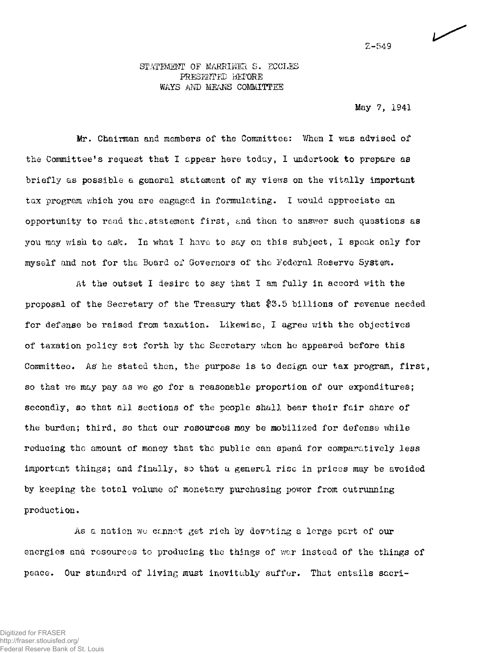### STATEMENT OF MARRINER S. ECCLES PRESENTED BEFORE WAYS AND MEANS COMMITTEE

May 7, 1941

Mr. Chairman and members of the Committee: When I was advised of the Committee<sup>1</sup>s request that I appear here today, I undertook to prepare as briefly as possible a general statement of my views on the vitally important tax program which you are engaged in formulating. I would appreciate an opportunity to read the,statement first, and then to answer such questions as you may wish to ask. In what I have to say on this subject, I speak only for myself and not for the Board of Governors of the Federal Reserve System.

At the outset I desire to say that I am fully in accord with the proposal of the Secretary of the Treasury that \$5.5 billions of revenue needed for defense be raised from taxation. Likewise, I agree with the objectives of taxation policy set forth by the Secretary when he appeared before this Committee. As' he stated then, the purpose is to design our tax program, first, so that we may pay as we go for a reasonable proportion of our expenditures; secondly, so that all sections of the people shall bear their fair share of the burden; third, so that our resources may be mobilized for defense while reducing the amount of money that the public can spend for comparatively less important things; and finally, so that a general rise in prices may be avoided by keeping the total volume of monetary purchasing power from outrunning production.

As a nation wu cannot get rich by devoting a large part of our energies ana resources to producing the things of war instead of the things of peace. Our standard of living must inevitably suffer. That entails sacri-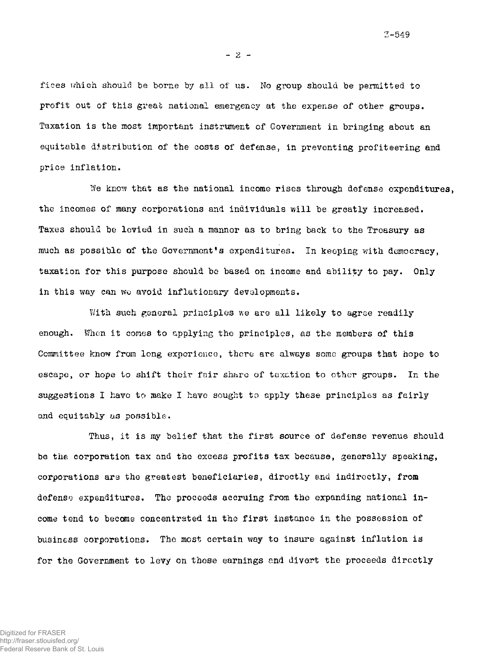**3-549** 

 $-2 -$ 

fices which should be borne by all of us. No group should be permitted to profit out of this great national emergency at the expense of other groups. Taxation is the most important instrument of Government in bringing about an equitable distribution of the costs of defense, in preventing profiteering and price inflation.

We know that as the national income rises through defense expenditures, the incomes of many corporations and individuals will be greatly increased. Taxes should be levied in such a manner as to bring back to the Treasury as much as possible of the Government's expenditures. In keeping with democracy, taxation for this purpose should be based on income and ability to pay. Only in this way can we avoid inflationary developments.

With such general principles we are all likely to agree readily enough. When it comes to applying the principles, as the members of this Committee know from long experience, there are alxvays some groups that hope to escape, or hope to shift their fair share of taxation to other groups. In the suggestions I have to make I have sought to apply these principles as fairly and equitably as possible.

Thus, it is my belief that the first source of defense revenue should be the corporation tax and the excess profits tax because, generally speaking, corporations are the greatest beneficiaries, directly and indirectly, from defense expenditures. The proceeds accruing from the expanding national income tend to become concentrated in the first instance in the possession of business corporations. The most certain way to insure against inflation is for the Government to levy on these earnings and divert the proceeds directly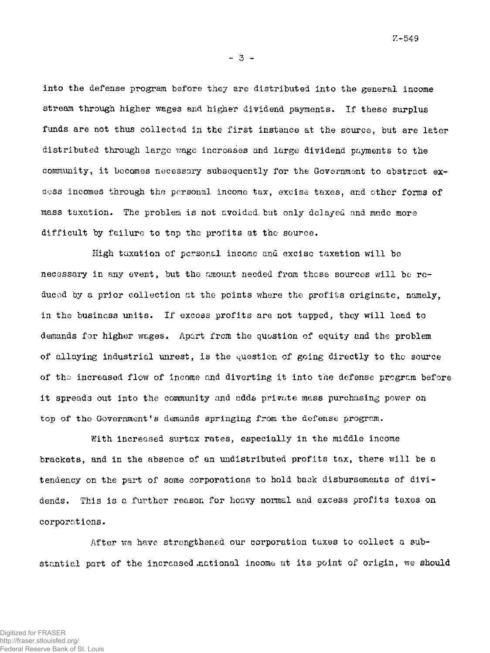**- 3 -**

into the defense program before they are distributed into the general income stream through higher wages and higher dividend payments. If these surplus funds are not thus collected in the first instance at the source, but are later distributed through large wage increases and large dividend payments to the community, it becomes necessary subsequently for the Governmant to abstract excess incomes through the personal income tax, excise taxes, and ether forms of mass taxation. The problem is not avoided, but only delayed and made more difficult by failure to tap the profits at the source.

High taxation of personal income and excise taxation will be necessary in any event, but the amount needed from these sources will be reduced by a prior collection at the points where the profits originate, namely, in the business units. If excess profits are not tapped, they will lead to demands for higher wages. Apart from the question of equity and the problem of allaying industrial unrest, is the question of going directly to the source of tho increased flow of income and diverting it into the defense program before it spreads out into the community and adds private mass purchasing power on top of the Government's demands springing from the defense program.

With increased surtax rates, especially in the middle income brackets, and in the absence of an undistributed profits tax, there will be a tendency on the part of some corporations to hold back disbursements of dividends. This is a further reason for heavy normal and excess profits taxes on corporations.

After we have strengthened our corporation taxes to collect a substantial part of the increased national income at its point of origin, we should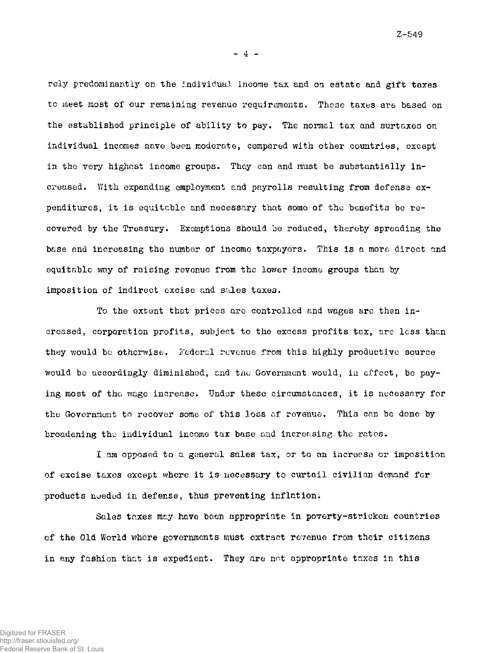**- 4** 

rely predominantly on the individual income tax and on estate and gift taxes to meet most of our remaining revenue requirements. These taxes are based on the established principle of ability to pay. The normal tax and surtaxes on individual incomes nave been moderate, compared with other countries, except in the very highest income groups. They can and must be substantially increased. With expanding employment and payrolls resulting from defense expenditures, it is equitable and necessary that some of the benefits be recovered by the Treasury. Exemptions should be reduced, thereby spreading the base and increasing the number of income taxpayers. This is a more direct and equitable way of raising revenue from the lower income groups than by imposition of indirect excise and sales taxes.

To the extent that prices are controlled and wages are then increased, corporation profits, subject to the excess profits tax, are less than they would be otherwise. Federal revenue from this highly productive source would bo accordingly diminished, and the Government would, in effect, be paying most of the wage increase. Under these circumstances, it is necessary for the Government to recover some of this loss of revenue. This can be done by broadening the individual income tax base and increasing the rates.

I am opposed to a general sales tax, or to an increase or imposition of excise taxes except where it is necessary to curtail civilian demand for products needed in defense, thus preventing inflation.

Sales taxes may have been appropriate in poverty-stricken countries of the Old World where governments must extract revenue from their citizens in any fashion that is expedient. They are not appropriate taxes in this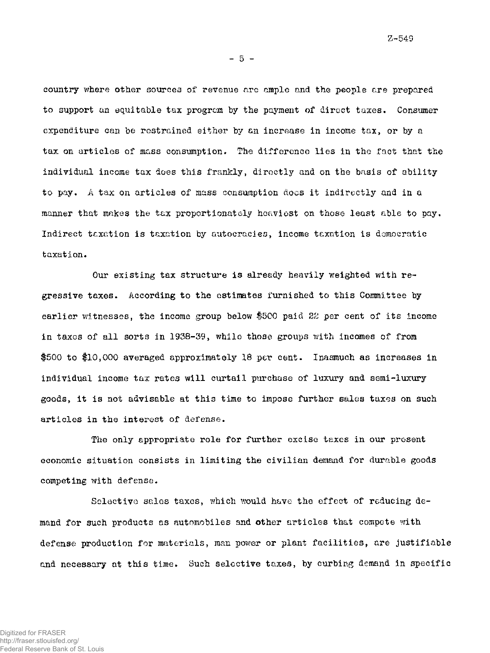**- 5 -**

country where other sources of revenue are ample and the people are prepared to support an equitable tax program by the payment of direct taxes. Consumer expenditure can be restrained either by an increase in income tax, or by a tax on articles of mass consumption. The difference lies in the fact that the individual income tax does this frankly, directly and on the basis of ability to pay. A tax on articles of mass consumption does it indirectly and in a manner that makes the tax proportionately heaviest on those least able to pay. Indirect taxation is taxation by autocracies, income taxation is democratic taxation.

Our existing tax structure is already heavily weighted with regressive taxes. According to the estimates furnished to this Committee by earlier witnesses, the income group below \$500 paid *22* per cent of its income in taxes of all sorts in 1938-39, while those groups with incomes of from \$500 to \$10,000 averaged approximately 18 per cent. Inasmuch as increases in individual income tax rates will curtail purchase of luxury and semi-luxury goods, it is not advisable at this time to impose further sales taxes on such articles in the interest of defense.

The only appropriate role for further excise taxes in our present economic situation consists in limiting the civilian demand for durable goods competing with defense.

Selective sales taxes, which would have the effect of reducing demand for such products as automobiles and other articles that compete with defense production for materials, man power or plant facilities, are justifiable and necessary at this time. Such selective taxes, by curbing demand in specific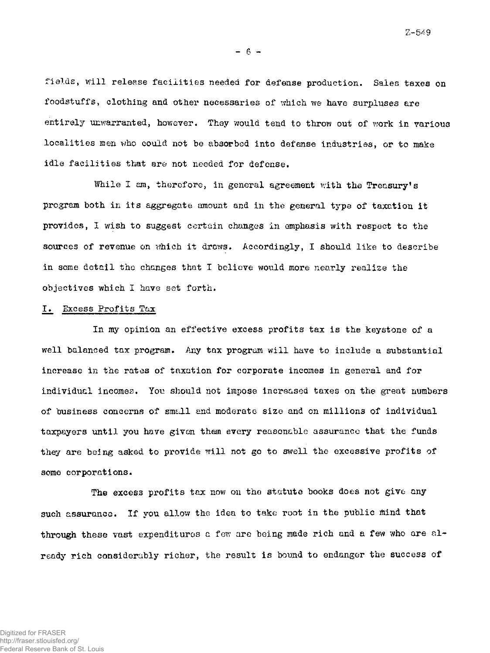**- 6 -**

fields, will release facilities needed for defense production. Sales taxes on foodstuffs, clothing and other necessaries of which we have surpluses are entirely unwarranted, however. They would tend to throw out of work in various localities men who could not be absorbed into defense industries, or to make idle facilities that are not needed for defense.

While I am, therefore, in general agreement with the Treasury's program both in its aggregate amount and in the general type of taxation it provides, I wish to suggest certain changes in emphasis with respect to the sources of revenue on which it draws. Accordingly, I should like to describe in some detail the changes that I believe would more nearly realise the objectives which I have set forth.

#### I. Excess Profits Tax

In my opinion an effective excess profits tax is the keystone of a well balanced tax program. Any tax program will have to include a substantial increase in the rates of taxation for corporate incomes in general and for individual incomes. You should not impose increased taxes on the great numbers of business concerns of small and moderate size and on millions of individual taxpayers until you have given them every reasonable assurance that the funds they are being asked to provide will not go to swell the excessive profits of some corporations.

The excess profits tax now on the statute books does not give any such assurance. If you allow the idea to take root in the public mind that through these vast expenditures a few are being made rich and a few who are already rich considerably richer, the result is bound to endanger the success of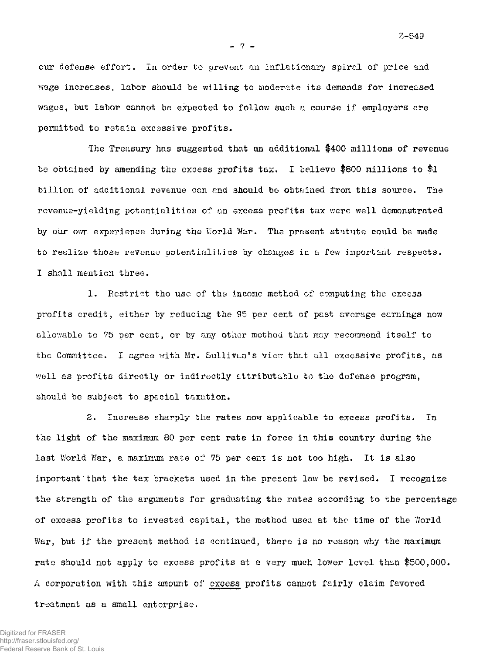our defense effort. In order to prevent an inflationary spiral of price and wage increases, labor should be willing to moderate its demands for increased wages, but labor cannot be expected to follow such a course if employers are permitted to retain excessive profits.

**- 7 -**

The Treasury has suggested that an additional \$400 millions of revenue be obtained by amending the excess profits tax. I believe #800 millions to #1 billion of additional revenue can and should be obtained from this source. The revenue-yielding potentialities of an excess profits tax were well demonstrated by our own experience during the World War. The present statute could be made to realize those revenue potentialities by changes in a few important respects. I shall mention three.

1. Restrict the use of the income method of computing the excess profits credit, either by reducing the 95 per cent of past average earnings now allowable to 75 per cent, or by any other method that may recommend itself to the Committee. I agree with Mr. Sullivan's view that all excessive profits, as well as profits directly or indirectly attributable to the defense program, should be subject to special taxation.

2. Increase sharply the rates now applicable to excess profits. In the light of the maximum 80 per cent rate in force in this country during the last World War, a maximum rate of 75 per cent is not too high. It is also important that the tax brackets used in the present law be revised. I recognize the strength of the arguments for graduating the rates according to the percentage of excess profits to invested capital, the method used at the time of the World War, but if the present method is continued, there is no reason why the maximum rate should not apply to excess profits at a very much lower level than \$500,000. A corporation with this amount of excess profits cannot fairly claim favored treatment as a small enterprise.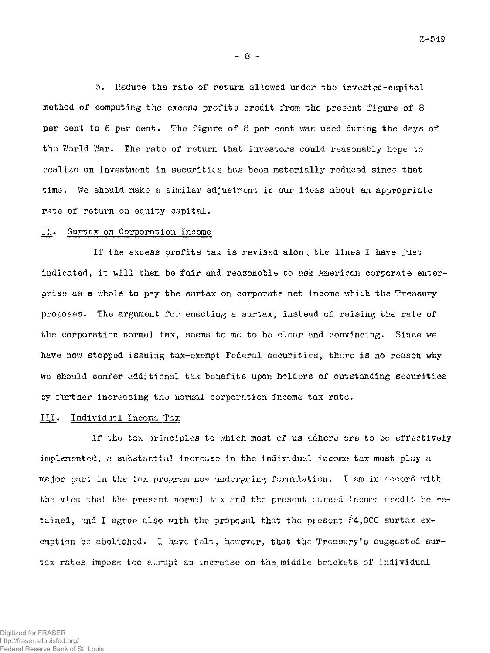**- 8 -**

3. Reduce the rate of return allowed under the invested-eapital method of computing the excess profits credit from the present figure of 8 per cent to 6 per cent. The figure of 8 per cent was used during the days of the World War. The rate of return that investors could reasonably hope to realize on investment in securities has been materially reduced since that time. We should make a similar adjustment in our ideas About an appropriate rate of return on equity capital.

#### II. Surtax on Corporation Income

If the excess profits tax is revised along the lines I have just indicated, it will then be fair and reasonable to ask American corporate enterprise as a whole to pay the surtax on corporate net income which the Treasury proposes. The argument for enacting a surtax, instead of raising the rate of the corporation normal tax, seems to mo to be clear and convincing. Since we have now stopped issuing tax-exempt Federal securities, there is no reason why we should confer additional tax benefits upon holders of outstanding securities by further increasing the normal corporation income tax rate.

### III. Individual Income Tax

If the tax principles to which most of us adhere are to be effectively implemented, a substantial increase in the individual income tax must play a major part in the tax program now undergoing formulation. I am in accord with the view that the present normal tax and the present earned incomc credit be retained, and I agree also with the proposal that the present \$4,000 surtax exemption be abolished. I have felt, however, that the Treasury's suggested surtax rates impose too abrupt an increase on the middle brackets of individual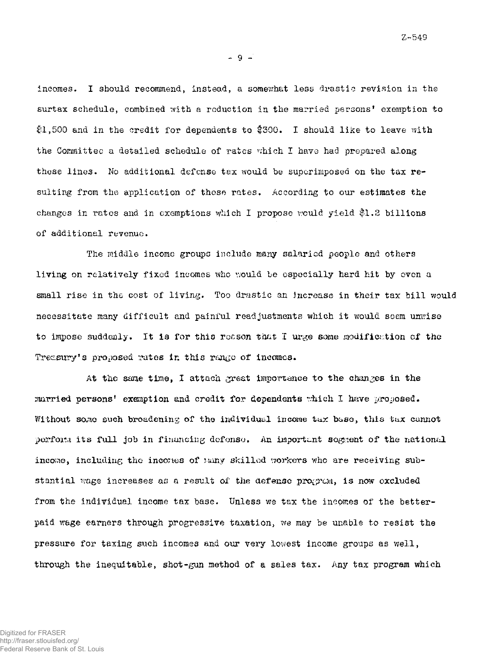**- 9 -**

incomes. I should recommend, instead, a somewhat less drastic revision in the surtax schedule, combined with a reduction in the married persons' exemption to \$1,500 and in the credit for dependents to \$300. I should like to leave with the Committee a detailed schedule of rates which I have had prepared along these lines. No additional defense tax would be superimposed on the tax resulting from the application of these rates. According to our estimates the changes in rates and in exemptions which I propose would yield \$1.2 billions of additional revenue.

The middle income groups include many salaried people and others living on relatively fixed incomes who would be especially hard hit by even a small rise in the cost of living. Too drastic an increase in their tax bill would necessitate many difficult and painful readjustments which it would seem unwise to impose suddenly. It is for this reason that I urge some modification of the Treasury's proposed rates in this range of incomes.

At the same time, I attach great importance to the changes in the married persons' exemption and credit for dependents which I have proposed. Without some such broadening of the individual income tux base, this tax cannot perform its full job in financing defonso. An important segment of the national income, including the incones of nany skilled workers who are receiving substantial wage increases as a result of the defense prograa, is now excluded from the individual income tax base. Unless we tax the incomes of the betterpaid wage earners through progressive taxation, we may be unable to resist the pressure for taxing such incomes and our very lowest income groups as well, through the inequitable, shot-gun method of a sales tax. Any tax program which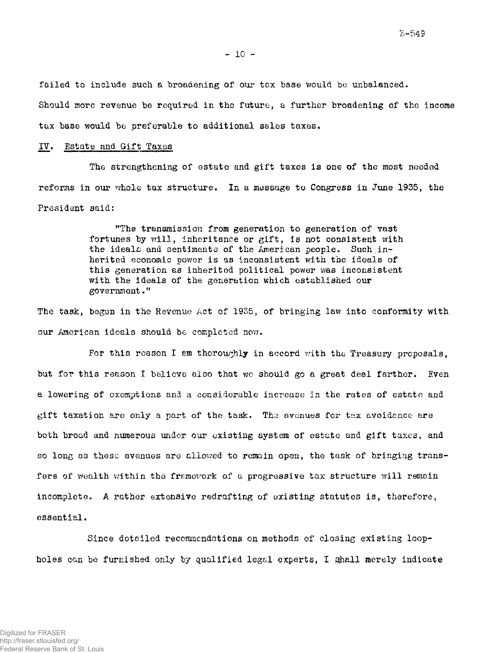**- 10 -**

failed to include such a broadening of our tax base would be unbalanced.

Should more revenue be required in the future, a further broadening of the income tax base would be preferable to additional sales taxes.

### IV. Estate and Gift Taxes

The strengthening of estate and gift taxes is one of the most needed reforms in our whole tax structure. In a message to Congress in June 1935, the President said:

> "The transmission from generation to generation of vast fortunes by will, inheritance or gift, is not consistent with the ideals and sentiments of the American people. Such.inherited economic power is as inconsistent with the ideals of this generation as inherited political power was inconsistent with the ideals of the generation which established our  $g$ overnment."

The task, begun in the Revenue Act of 1935, of bringing law into conformity with our American ideals should be completed now.

For this reason I em thoroughly in accord with the Treasury proposals, but for this reason I believe also that we should go a great deal farther. Even a lowering of exemptions and a considerable increase in the rates of estate and gift taxation are only a part of the task. The avenues for tax avoidance are both broad and numerous under our existing system of estate and gift taxes, and so long as these avenues are allowed to remain open, the task of bringing transfers of wealth within the framework of a progressive tax structure will remain incomplete. A rather extensive redrafting of existing statutes is, therefore, essential.

Since detailed recommendations on methods of closing existing loopholes can be furnished only by qualified legal experts, I shall merely indicate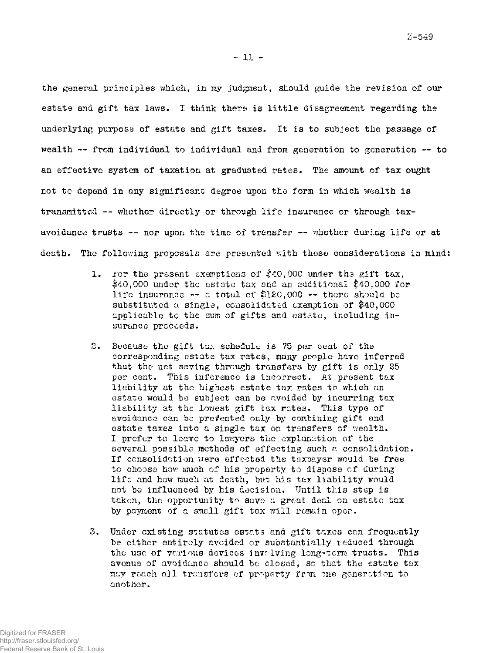**- 11 -**

the general principles which, in my judgment, should guide the revision of our estate and gift tax laws. I think there is little disagreement regarding the underlying purpose of estate and gift taxes. It is to subject the passage of wealth -- from individual to individual and from generation to generation -- to an effective system of taxation at graduated rates. The amount of tax ought not to depend in any significant degree upon the form in which wealth is transmitted — whether directly or through life insurance or through taxavoidance trusts  $-$ - nor upon the time of trensfer  $-$ - whether during life or at death. The following proposals are presented with these considerations in mind:

- 1. For the present exemptions of \$40,000 under the gift tax, \$40,000 under the estate tax and an additional \$40,000 for life insurance  $-$  a total of \$120,000  $-$  there should be substituted a single, consolidated exemption of  $$40,000$ applicable to the sum of gifts and estate, including insurance proceeds.
- 2. Because the gift tax schedule is 75 per cent of the corresponding estate tax rates, many people have inferred that the net saving through transfers by gift is only 25 per cent. This inference is incorrect. At present tax liability at the highest estate tax rates to which an estate would be subject can be avoided by incurring tax liability at the lowest gift tax rates. This type of avoidance can be **presented** only by combining gift and estate taxes into a single tax on transfers of wealth. I prefer to leave to lawyers the explanation of the several possible methods of effecting such a consolidation. If consolidation were effected the taxpayer would be free to choose how much of his property to dispose of during life and how much at death, but his tax liability would not be influenced by his decision. Until this step is taken, the opportunity to save a great deal on estate tax by payment of a small gift tax will remain open.
- 3. Under existing statutes estate and gift taxes can frequently be either entirely avoided or substantially reduced through the use of various devices invalving long-term trusts. This avenue of avoidance should be closed, so that the estate tax may reach all transfers of property from one generation to another.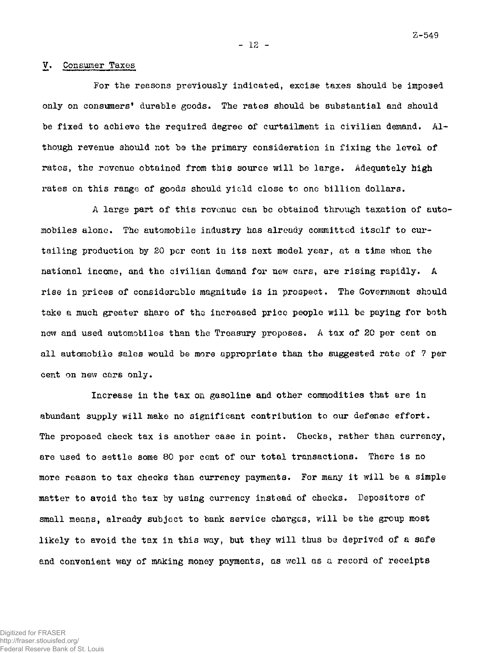**- 12 -**

#### V. Consumer Taxes

For the reasons previously indicated, excise taxes should be imposed only on consumers' durable goods. The rates should be substantial and should be fixed to achieve the required degree of curtailment in civilian demand. Although revenue should not be the primary consideration in fixing the level of rates, the revenue obtained from this source will be large. Adequately high rates on this range of goods should yield close to one billion dollars.

A large part of this revenue can be obtained through taxation of automobiles alone. The automobile industry has already committed itself to curtailing production by 20 per cent in its next model year, at a time when the national income, and the civilian demand for new cars, are rising rapidly. A rise in prices of considerable magnitude is in prospect. The Government should take a much greater share of the increased price people will be paying for both new and used automobiles than the Treasury proposes, A tax of 20 per cent on all automobile sales would be more appropriate than the suggested rate of 7 per cent on new cars only.

Increase in the tax on gasoline and other commodities that are in abundant supply will make no significant contribution to our defense effort. The proposed check tax is another case in point. Checks, rather than currency, are used to settle some 80 per cent of our total transactions. There is no more reason to tax checks than currency payments. For many it will be a simple matter to avoid the tax by using currency instead of checks. Depositors of small means, already subject to bank service charges, will be the group most likely to avoid the tax in this way, but they will thus be deprived of a safe and convenient way of making money payments, as well as a record of receipts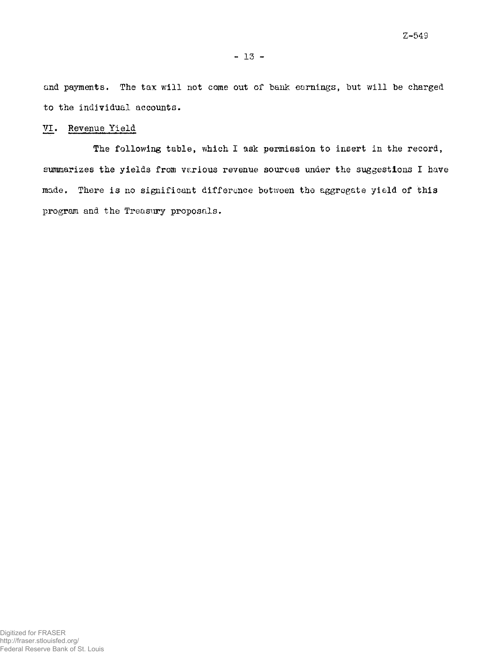and payments. The tax will not come out of bank earnings, but will be charged to the individual accounts.

## VI. Revenue Yield

The following table, which I ask permission to insert in the record, summarizes the yields from various revenue sources under the suggestions I have made. There is no significant difference between the aggregate yield of this program and the Treasury proposals.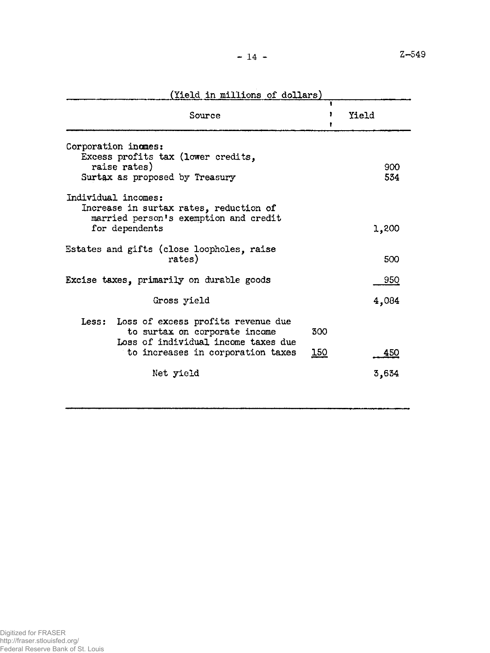Z—549

| (Yield in millions of dollars)                                                                                           |             |       |  |  |  |
|--------------------------------------------------------------------------------------------------------------------------|-------------|-------|--|--|--|
| Source                                                                                                                   | 1<br>,<br>, | Yield |  |  |  |
| Corporation incmes:<br>Excess profits tax (lower credits,                                                                |             |       |  |  |  |
| raise rates)                                                                                                             | 900         |       |  |  |  |
| Surtax as proposed by Treasury                                                                                           | 534         |       |  |  |  |
| Individual incomes:<br>Increase in surtax rates, reduction of<br>married person's exemption and credit<br>for dependents |             | 1,200 |  |  |  |
| Estates and gifts (close loopholes, raise<br>rates)                                                                      |             | 500   |  |  |  |
| Excise taxes, primarily on durable goods                                                                                 |             | 950   |  |  |  |
| Gross yield                                                                                                              |             | 4,084 |  |  |  |
| Less: Loss of excess profits revenue due<br>to surtax on corporate income<br>Loss of individual income taxes due         | 300         |       |  |  |  |
| to increases in corporation taxes                                                                                        | <u>150</u>  | 450   |  |  |  |
| Net yield                                                                                                                |             | 3,634 |  |  |  |
|                                                                                                                          |             |       |  |  |  |

(Yield in millions of dollars)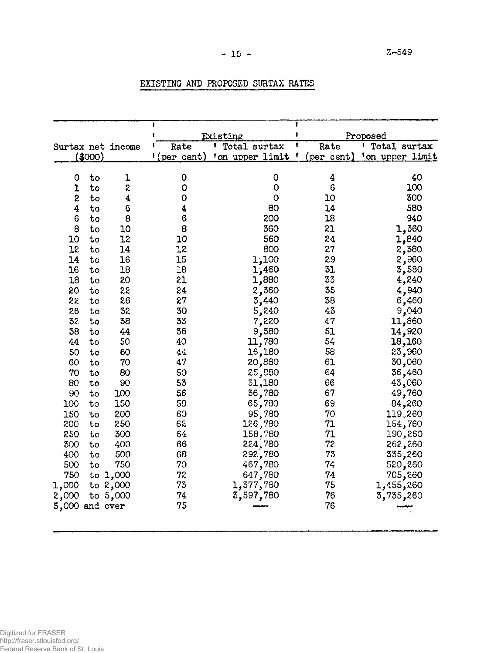# $-15$  -  $2-549$

|                |         |                   | ŧ           | $\mathbf{f}$<br>Existing  |   |            | Proposed           |  |
|----------------|---------|-------------------|-------------|---------------------------|---|------------|--------------------|--|
|                |         | Surtax net income | Rate        | <sup>1</sup> Total surtax | 1 | Rate       | Total surtax<br>ŧ. |  |
|                | (\$000) |                   | !(per cent) | 'on upper limit '         |   | (per cent) | 'on upper limit    |  |
|                |         |                   |             |                           |   |            |                    |  |
| 0              | to      | ı                 | 0           | 0                         |   | 4          | 40                 |  |
| ı              | to      | 2                 | 0           | 0                         |   | 6          | 100                |  |
| \$             | to      | 4                 | $\circ$     | $\circ$                   |   | 10         | 300                |  |
| 4              | to      | 6                 | 4           | 80                        |   | 14         | 580                |  |
| 6              | to      | 8                 | 6           | 200                       |   | 18         | 940                |  |
| 8              | to      | 10                | 8           | 360                       |   | 21         | 1,360              |  |
| 10             | to      | 12                | 10          | 560                       |   | 24         | 1,840              |  |
| 12             | to      | 14                | 12          | 800                       |   | 27         | 2,380              |  |
| 14             | to      | 16                | 15          | 1,100                     |   | 29         | 2,960              |  |
| 16             | to      | 18                | 18          | 1,460                     |   | 31         | 3,580              |  |
| 18             | to      | 20                | 21          | 1,880                     |   | 33         | 4,240              |  |
| 20             | to      | 22                | 24          | 2,360                     |   | 35         | 4,940              |  |
| 22             | to      | 26                | 27          | 3,440                     |   | 38         | 6,460              |  |
| 26             | to      | 32                | 30          | 5,240                     |   | 43         | 9,040              |  |
| 32             | to      | 38                | 33          | 7,220                     |   | 47         | 11,860             |  |
| 38             | to      | 44                | 36          | 9,380                     |   | 51         | 14,920             |  |
| 44             | to      | 50                | 40          | 11,780                    |   | 54         | 18,160             |  |
| 50             | to      | 60                | 44          | 16,180                    |   | 58         | 23,960             |  |
| 60             | to      | 70                | 47          | 20,880                    |   | 61         | 30,060             |  |
| 70             | to      | 80                | 50          | 25,880                    |   | 64         | 36,460             |  |
| 80             | to      | 90                | 53          | 31,180                    |   | 66         | 43,060             |  |
| 90             | to      | 100               | 56          | 36,780                    |   | 67         | 49,760             |  |
| 100            | to      | 150               | 58          | 65,780                    |   | 69         | 84,260             |  |
| 150            | to      | 200               | 60          | 95,780                    |   | 70         | 119,260            |  |
| 200            | to      | 250               | 62          | 126,780                   |   | 71         | 154,760            |  |
| 250            | to      | 300               | 64          | 158,780                   |   | 71         | 190,260            |  |
| 300            | to      | 400               | 66          | 224,780                   |   | 72         | 262,260            |  |
| 400            | to      | 500               | 68          | 292,780                   |   | 73         | 335,260            |  |
| 500            | to      | 750               | 70          | 467,780                   |   | 74         | 520,260            |  |
| 750            |         | to 1,000          | 72          | 647,780                   |   | 74         | 705,260            |  |
| 1,000          |         | to $2,000$        | 73          | 1,377,780                 |   | 75         | 260, 455, 1        |  |
| 2,000          |         | to $5,000$        | 74          | 3,597,780                 |   | 76         | 3,735,260          |  |
| 5,000 and over |         |                   | 75          |                           |   | 76         |                    |  |
|                |         |                   |             |                           |   |            |                    |  |

# EXISTING AND PROPOSED SURTAX RATES